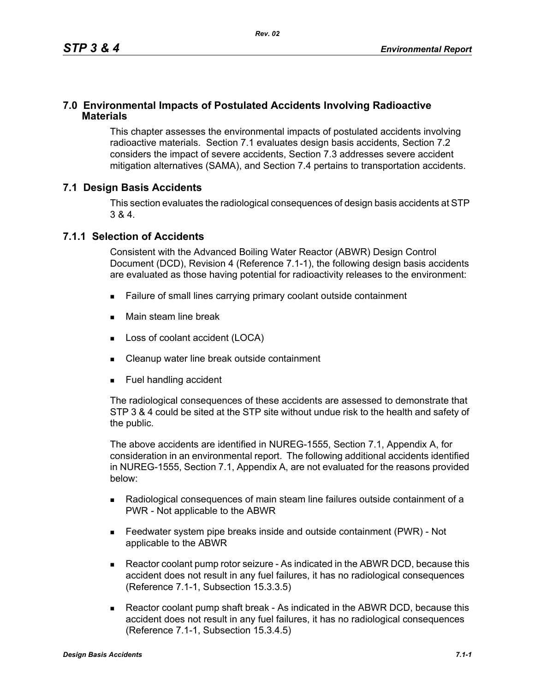## **7.0 Environmental Impacts of Postulated Accidents Involving Radioactive Materials**

This chapter assesses the environmental impacts of postulated accidents involving radioactive materials. Section 7.1 evaluates design basis accidents, Section 7.2 considers the impact of severe accidents, Section 7.3 addresses severe accident mitigation alternatives (SAMA), and Section 7.4 pertains to transportation accidents.

## **7.1 Design Basis Accidents**

This section evaluates the radiological consequences of design basis accidents at STP 3 & 4.

### **7.1.1 Selection of Accidents**

Consistent with the Advanced Boiling Water Reactor (ABWR) Design Control Document (DCD), Revision 4 (Reference 7.1-1), the following design basis accidents are evaluated as those having potential for radioactivity releases to the environment:

- Failure of small lines carrying primary coolant outside containment
- **Main steam line break**
- **Loss of coolant accident (LOCA)**
- Cleanup water line break outside containment
- **Fuel handling accident**

The radiological consequences of these accidents are assessed to demonstrate that STP 3 & 4 could be sited at the STP site without undue risk to the health and safety of the public.

The above accidents are identified in NUREG-1555, Section 7.1, Appendix A, for consideration in an environmental report. The following additional accidents identified in NUREG-1555, Section 7.1, Appendix A, are not evaluated for the reasons provided below:

- Radiological consequences of main steam line failures outside containment of a PWR - Not applicable to the ABWR
- Feedwater system pipe breaks inside and outside containment (PWR) Not applicable to the ABWR
- Reactor coolant pump rotor seizure As indicated in the ABWR DCD, because this accident does not result in any fuel failures, it has no radiological consequences (Reference 7.1-1, Subsection 15.3.3.5)
- Reactor coolant pump shaft break As indicated in the ABWR DCD, because this accident does not result in any fuel failures, it has no radiological consequences (Reference 7.1-1, Subsection 15.3.4.5)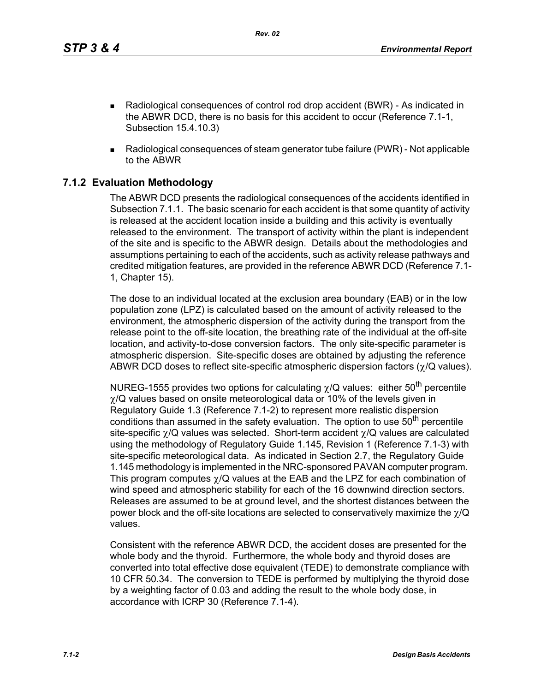*Rev. 02*

- Radiological consequences of control rod drop accident (BWR) As indicated in the ABWR DCD, there is no basis for this accident to occur (Reference 7.1-1, Subsection 15.4.10.3)
- Radiological consequences of steam generator tube failure (PWR) Not applicable to the ABWR

# **7.1.2 Evaluation Methodology**

The ABWR DCD presents the radiological consequences of the accidents identified in Subsection 7.1.1. The basic scenario for each accident is that some quantity of activity is released at the accident location inside a building and this activity is eventually released to the environment. The transport of activity within the plant is independent of the site and is specific to the ABWR design. Details about the methodologies and assumptions pertaining to each of the accidents, such as activity release pathways and credited mitigation features, are provided in the reference ABWR DCD (Reference 7.1- 1, Chapter 15).

The dose to an individual located at the exclusion area boundary (EAB) or in the low population zone (LPZ) is calculated based on the amount of activity released to the environment, the atmospheric dispersion of the activity during the transport from the release point to the off-site location, the breathing rate of the individual at the off-site location, and activity-to-dose conversion factors. The only site-specific parameter is atmospheric dispersion. Site-specific doses are obtained by adjusting the reference ABWR DCD doses to reflect site-specific atmospheric dispersion factors (χ/Q values).

NUREG-1555 provides two options for calculating  $\chi$ /Q values: either 50<sup>th</sup> percentile  $\gamma$ /Q values based on onsite meteorological data or 10% of the levels given in Regulatory Guide 1.3 (Reference 7.1-2) to represent more realistic dispersion conditions than assumed in the safety evaluation. The option to use  $50<sup>th</sup>$  percentile site-specific  $\gamma$ /Q values was selected. Short-term accident  $\gamma$ /Q values are calculated using the methodology of Regulatory Guide 1.145, Revision 1 (Reference 7.1-3) with site-specific meteorological data. As indicated in Section 2.7, the Regulatory Guide 1.145 methodology is implemented in the NRC-sponsored PAVAN computer program. This program computes  $\gamma$ /Q values at the EAB and the LPZ for each combination of wind speed and atmospheric stability for each of the 16 downwind direction sectors. Releases are assumed to be at ground level, and the shortest distances between the power block and the off-site locations are selected to conservatively maximize the  $\gamma$ /Q values.

Consistent with the reference ABWR DCD, the accident doses are presented for the whole body and the thyroid. Furthermore, the whole body and thyroid doses are converted into total effective dose equivalent (TEDE) to demonstrate compliance with 10 CFR 50.34. The conversion to TEDE is performed by multiplying the thyroid dose by a weighting factor of 0.03 and adding the result to the whole body dose, in accordance with ICRP 30 (Reference 7.1-4).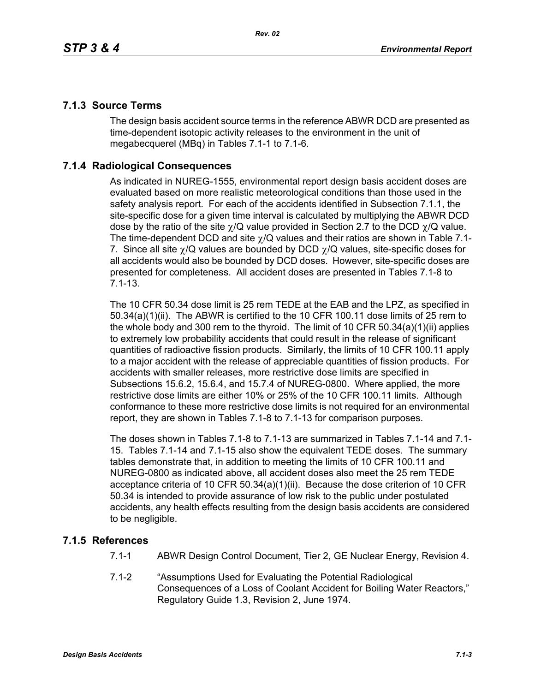# **7.1.3 Source Terms**

The design basis accident source terms in the reference ABWR DCD are presented as time-dependent isotopic activity releases to the environment in the unit of megabecquerel (MBq) in Tables 7.1-1 to 7.1-6.

# **7.1.4 Radiological Consequences**

As indicated in NUREG-1555, environmental report design basis accident doses are evaluated based on more realistic meteorological conditions than those used in the safety analysis report. For each of the accidents identified in Subsection 7.1.1, the site-specific dose for a given time interval is calculated by multiplying the ABWR DCD dose by the ratio of the site  $\gamma/Q$  value provided in Section 2.7 to the DCD  $\gamma/Q$  value. The time-dependent DCD and site  $\gamma$ /Q values and their ratios are shown in Table 7.1-7. Since all site  $\gamma$ /Q values are bounded by DCD  $\gamma$ /Q values, site-specific doses for all accidents would also be bounded by DCD doses. However, site-specific doses are presented for completeness. All accident doses are presented in Tables 7.1-8 to 7.1-13.

The 10 CFR 50.34 dose limit is 25 rem TEDE at the EAB and the LPZ, as specified in 50.34(a)(1)(ii). The ABWR is certified to the 10 CFR 100.11 dose limits of 25 rem to the whole body and 300 rem to the thyroid. The limit of 10 CFR 50.34(a)(1)(ii) applies to extremely low probability accidents that could result in the release of significant quantities of radioactive fission products. Similarly, the limits of 10 CFR 100.11 apply to a major accident with the release of appreciable quantities of fission products. For accidents with smaller releases, more restrictive dose limits are specified in Subsections 15.6.2, 15.6.4, and 15.7.4 of NUREG-0800. Where applied, the more restrictive dose limits are either 10% or 25% of the 10 CFR 100.11 limits. Although conformance to these more restrictive dose limits is not required for an environmental report, they are shown in Tables 7.1-8 to 7.1-13 for comparison purposes.

The doses shown in Tables 7.1-8 to 7.1-13 are summarized in Tables 7.1-14 and 7.1- 15. Tables 7.1-14 and 7.1-15 also show the equivalent TEDE doses. The summary tables demonstrate that, in addition to meeting the limits of 10 CFR 100.11 and NUREG-0800 as indicated above, all accident doses also meet the 25 rem TEDE acceptance criteria of 10 CFR 50.34(a)(1)(ii). Because the dose criterion of 10 CFR 50.34 is intended to provide assurance of low risk to the public under postulated accidents, any health effects resulting from the design basis accidents are considered to be negligible.

## **7.1.5 References**

- 7.1-1 ABWR Design Control Document, Tier 2, GE Nuclear Energy, Revision 4.
- 7.1-2 "Assumptions Used for Evaluating the Potential Radiological Consequences of a Loss of Coolant Accident for Boiling Water Reactors," Regulatory Guide 1.3, Revision 2, June 1974.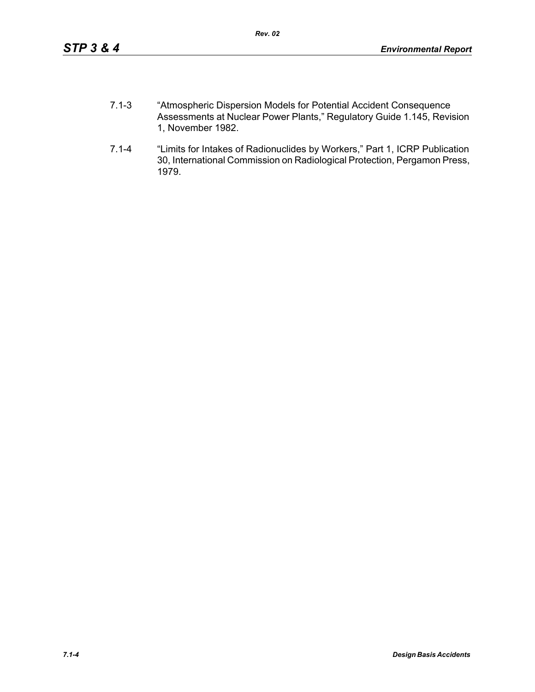- 7.1-3 "Atmospheric Dispersion Models for Potential Accident Consequence Assessments at Nuclear Power Plants," Regulatory Guide 1.145, Revision 1, November 1982.
- 7.1-4 "Limits for Intakes of Radionuclides by Workers," Part 1, ICRP Publication 30, International Commission on Radiological Protection, Pergamon Press, 1979.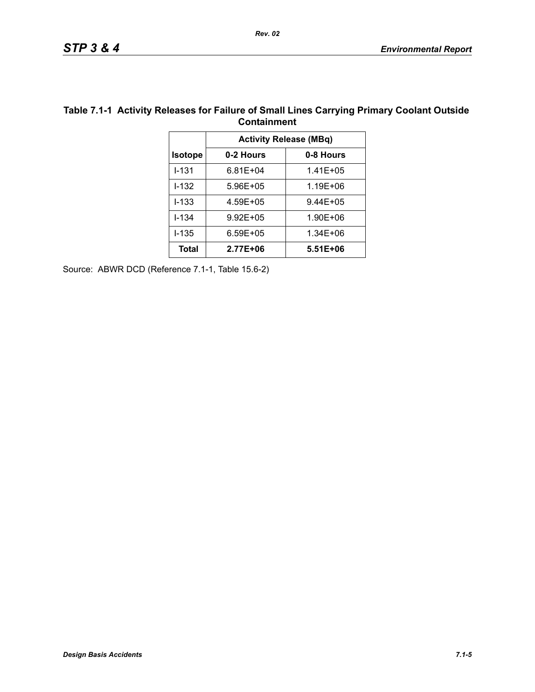| Containment                   |              |  |  |  |
|-------------------------------|--------------|--|--|--|
| <b>Activity Release (MBq)</b> |              |  |  |  |
| 0-2 Hours                     | 0-8 Hours    |  |  |  |
| $6.81E + 04$                  | $1.41E + 05$ |  |  |  |
| 5.96E+05                      | 1.19E+06     |  |  |  |
| 4.59E+05                      | 9.44E+05     |  |  |  |
| $9.92E + 05$                  | 1.90E+06     |  |  |  |
| $6.59E + 05$                  | 1.34E+06     |  |  |  |
| 2.77E+06                      | 5.51E+06     |  |  |  |
|                               |              |  |  |  |

### **Table 7.1-1 Activity Releases for Failure of Small Lines Carrying Primary Coolant Outside Containment**

Source: ABWR DCD (Reference 7.1-1, Table 15.6-2)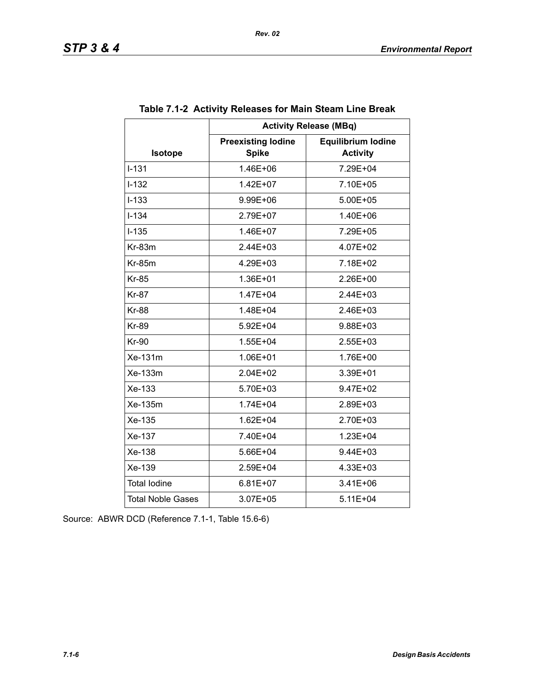|                          | <b>Activity Release (MBq)</b>             |                                              |  |  |  |  |
|--------------------------|-------------------------------------------|----------------------------------------------|--|--|--|--|
| Isotope                  | <b>Preexisting lodine</b><br><b>Spike</b> | <b>Equilibrium lodine</b><br><b>Activity</b> |  |  |  |  |
| $I - 131$                | 1.46E+06                                  | 7.29E+04                                     |  |  |  |  |
| $I - 132$                | 1.42E+07                                  | 7.10E+05                                     |  |  |  |  |
| $I-133$                  | 9.99E+06                                  | 5.00E+05                                     |  |  |  |  |
| $I - 134$                | 2.79E+07                                  | 1.40E+06                                     |  |  |  |  |
| $I-135$                  | 1.46E+07                                  | 7.29E+05                                     |  |  |  |  |
| $Kr-83m$                 | $2.44E + 03$                              | 4.07E+02                                     |  |  |  |  |
| <b>Kr-85m</b>            | 4.29E+03                                  | 7.18E+02                                     |  |  |  |  |
| <b>Kr-85</b>             | 1.36E+01                                  | 2.26E+00                                     |  |  |  |  |
| <b>Kr-87</b>             | 1.47E+04                                  | 2.44E+03                                     |  |  |  |  |
| <b>Kr-88</b>             | 1.48E+04                                  | $2.46E + 03$                                 |  |  |  |  |
| <b>Kr-89</b>             | 5.92E+04                                  | 9.88E+03                                     |  |  |  |  |
| <b>Kr-90</b>             | 1.55E+04                                  | 2.55E+03                                     |  |  |  |  |
| Xe-131m                  | 1.06E+01                                  | 1.76E+00                                     |  |  |  |  |
| Xe-133m                  | $2.04E + 02$                              | 3.39E+01                                     |  |  |  |  |
| Xe-133                   | 5.70E+03                                  | 9.47E+02                                     |  |  |  |  |
| Xe-135m                  | 1.74E+04                                  | 2.89E+03                                     |  |  |  |  |
| Xe-135                   | 1.62E+04                                  | 2.70E+03                                     |  |  |  |  |
| Xe-137                   | 7.40E+04                                  | 1.23E+04                                     |  |  |  |  |
| Xe-138                   | 5.66E+04                                  | 9.44E+03                                     |  |  |  |  |
| Xe-139                   | 2.59E+04                                  | 4.33E+03                                     |  |  |  |  |
| <b>Total lodine</b>      | $6.81E+07$                                | $3.41E + 06$                                 |  |  |  |  |
| <b>Total Noble Gases</b> | 3.07E+05                                  | 5.11E+04                                     |  |  |  |  |

## **Table 7.1-2 Activity Releases for Main Steam Line Break**

Source: ABWR DCD (Reference 7.1-1, Table 15.6-6)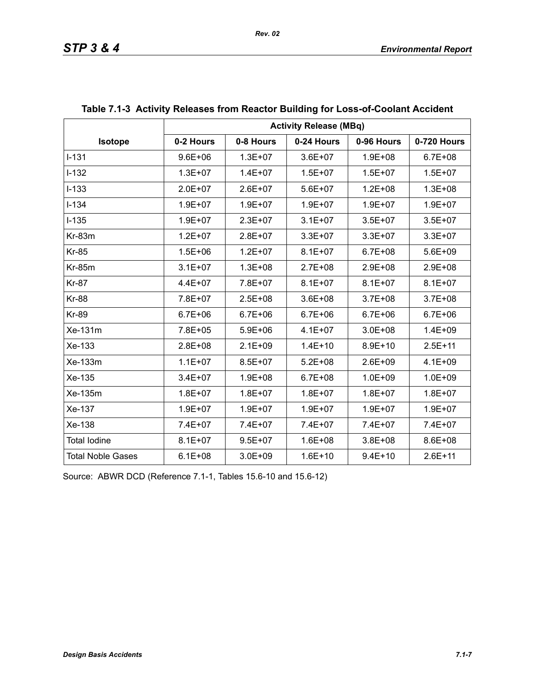|                          | <b>Activity Release (MBq)</b> |             |             |             |             |  |
|--------------------------|-------------------------------|-------------|-------------|-------------|-------------|--|
| Isotope                  | 0-2 Hours                     | 0-8 Hours   | 0-24 Hours  | 0-96 Hours  | 0-720 Hours |  |
| $I-131$                  | $9.6E + 06$                   | $1.3E + 07$ | $3.6E + 07$ | $1.9E + 08$ | $6.7E + 08$ |  |
| $I-132$                  | $1.3E + 07$                   | $1.4E + 07$ | $1.5E + 07$ | $1.5E + 07$ | $1.5E + 07$ |  |
| $I-133$                  | $2.0E + 07$                   | $2.6E + 07$ | $5.6E + 07$ | $1.2E + 08$ | $1.3E + 08$ |  |
| $I - 134$                | 1.9E+07                       | $1.9E + 07$ | $1.9E + 07$ | $1.9E + 07$ | $1.9E + 07$ |  |
| $I-135$                  | $1.9E + 07$                   | $2.3E + 07$ | $3.1E + 07$ | $3.5E + 07$ | $3.5E + 07$ |  |
| Kr-83m                   | $1.2E + 07$                   | $2.8E + 07$ | $3.3E + 07$ | $3.3E + 07$ | $3.3E + 07$ |  |
| <b>Kr-85</b>             | $1.5E + 06$                   | $1.2E + 07$ | $8.1E + 07$ | $6.7E + 08$ | 5.6E+09     |  |
| <b>Kr-85m</b>            | $3.1E + 07$                   | $1.3E + 08$ | $2.7E + 08$ | $2.9E + 08$ | 2.9E+08     |  |
| <b>Kr-87</b>             | $4.4E + 07$                   | 7.8E+07     | $8.1E + 07$ | $8.1E + 07$ | $8.1E + 07$ |  |
| <b>Kr-88</b>             | 7.8E+07                       | $2.5E + 08$ | $3.6E + 08$ | $3.7E + 08$ | $3.7E + 08$ |  |
| <b>Kr-89</b>             | $6.7E + 06$                   | $6.7E + 06$ | $6.7E + 06$ | $6.7E + 06$ | $6.7E + 06$ |  |
| Xe-131m                  | 7.8E+05                       | $5.9E + 06$ | $4.1E + 07$ | $3.0E + 08$ | $1.4E + 09$ |  |
| Xe-133                   | 2.8E+08                       | $2.1E + 09$ | $1.4E + 10$ | $8.9E + 10$ | $2.5E + 11$ |  |
| Xe-133m                  | $1.1E + 07$                   | $8.5E + 07$ | $5.2E + 08$ | $2.6E + 09$ | $4.1E + 09$ |  |
| Xe-135                   | $3.4E + 07$                   | $1.9E + 08$ | $6.7E + 08$ | $1.0E + 09$ | $1.0E + 09$ |  |
| Xe-135m                  | $1.8E + 07$                   | $1.8E + 07$ | $1.8E + 07$ | $1.8E + 07$ | $1.8E + 07$ |  |
| Xe-137                   | $1.9E + 07$                   | $1.9E + 07$ | $1.9E + 07$ | $1.9E + 07$ | $1.9E + 07$ |  |
| Xe-138                   | 7.4E+07                       | 7.4E+07     | 7.4E+07     | 7.4E+07     | 7.4E+07     |  |
| <b>Total lodine</b>      | $8.1E + 07$                   | $9.5E + 07$ | $1.6E + 08$ | $3.8E + 08$ | 8.6E+08     |  |
| <b>Total Noble Gases</b> | $6.1E + 08$                   | $3.0E + 09$ | $1.6E + 10$ | $9.4E + 10$ | $2.6E + 11$ |  |

# **Table 7.1-3 Activity Releases from Reactor Building for Loss-of-Coolant Accident**

Source: ABWR DCD (Reference 7.1-1, Tables 15.6-10 and 15.6-12)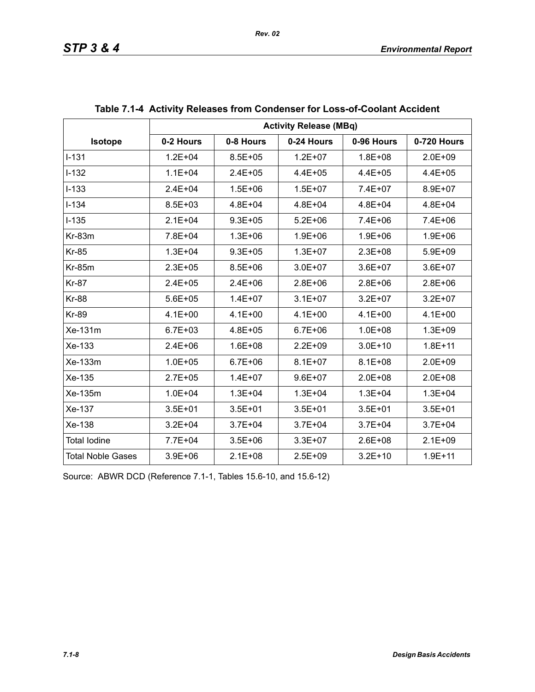|                          | <b>Activity Release (MBq)</b> |             |             |             |             |  |  |
|--------------------------|-------------------------------|-------------|-------------|-------------|-------------|--|--|
| <b>Isotope</b>           | 0-2 Hours                     | 0-8 Hours   | 0-24 Hours  | 0-96 Hours  | 0-720 Hours |  |  |
| $I - 131$                | $1.2E + 04$                   | $8.5E + 05$ | $1.2E + 07$ | $1.8E + 08$ | $2.0E + 09$ |  |  |
| $I-132$                  | $1.1E + 04$                   | $2.4E + 05$ | $4.4E + 05$ | $4.4E + 05$ | $4.4E + 05$ |  |  |
| $I-133$                  | $2.4E + 04$                   | $1.5E + 06$ | $1.5E + 07$ | 7.4E+07     | 8.9E+07     |  |  |
| $I-134$                  | 8.5E+03                       | $4.8E + 04$ | $4.8E + 04$ | 4.8E+04     | $4.8E + 04$ |  |  |
| $I-135$                  | $2.1E + 04$                   | $9.3E + 05$ | $5.2E + 06$ | $7.4E + 06$ | $7.4E + 06$ |  |  |
| Kr-83m                   | 7.8E+04                       | $1.3E + 06$ | $1.9E + 06$ | $1.9E + 06$ | $1.9E + 06$ |  |  |
| <b>Kr-85</b>             | $1.3E + 04$                   | $9.3E + 05$ | $1.3E + 07$ | $2.3E + 08$ | $5.9E + 09$ |  |  |
| <b>Kr-85m</b>            | $2.3E + 05$                   | $8.5E + 06$ | $3.0E + 07$ | $3.6E + 07$ | $3.6E + 07$ |  |  |
| <b>Kr-87</b>             | $2.4E + 05$                   | $2.4E + 06$ | $2.8E + 06$ | $2.8E + 06$ | $2.8E + 06$ |  |  |
| <b>Kr-88</b>             | $5.6E + 05$                   | $1.4E + 07$ | $3.1E + 07$ | $3.2E + 07$ | $3.2E + 07$ |  |  |
| <b>Kr-89</b>             | $4.1E + 00$                   | $4.1E + 00$ | $4.1E + 00$ | $4.1E + 00$ | $4.1E + 00$ |  |  |
| Xe-131m                  | $6.7E + 03$                   | 4.8E+05     | $6.7E + 06$ | $1.0E + 08$ | $1.3E + 09$ |  |  |
| Xe-133                   | $2.4E + 06$                   | $1.6E + 08$ | $2.2E + 09$ | $3.0E + 10$ | $1.8E + 11$ |  |  |
| Xe-133m                  | $1.0E + 05$                   | $6.7E + 06$ | $8.1E + 07$ | $8.1E + 08$ | $2.0E + 09$ |  |  |
| Xe-135                   | $2.7E + 05$                   | $1.4E + 07$ | $9.6E + 07$ | $2.0E + 08$ | $2.0E + 08$ |  |  |
| Xe-135m                  | $1.0E + 04$                   | $1.3E + 04$ | $1.3E + 04$ | $1.3E + 04$ | $1.3E + 04$ |  |  |
| Xe-137                   | $3.5E + 01$                   | $3.5E + 01$ | $3.5E + 01$ | $3.5E + 01$ | $3.5E + 01$ |  |  |
| Xe-138                   | $3.2E + 04$                   | $3.7E + 04$ | $3.7E + 04$ | $3.7E + 04$ | $3.7E + 04$ |  |  |
| <b>Total lodine</b>      | 7.7E+04                       | $3.5E + 06$ | $3.3E + 07$ | $2.6E + 08$ | $2.1E + 09$ |  |  |
| <b>Total Noble Gases</b> | $3.9E + 06$                   | $2.1E + 08$ | $2.5E + 09$ | $3.2E + 10$ | $1.9E + 11$ |  |  |

| Table 7.1-4 Activity Releases from Condenser for Loss-of-Coolant Accident |  |  |
|---------------------------------------------------------------------------|--|--|
|                                                                           |  |  |

Source: ABWR DCD (Reference 7.1-1, Tables 15.6-10, and 15.6-12)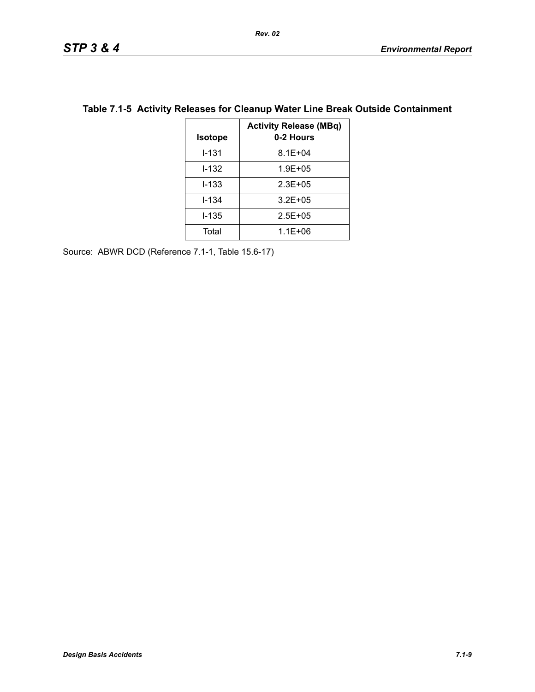| <b>Isotope</b> | <b>Activity Release (MBq)</b><br>0-2 Hours |
|----------------|--------------------------------------------|
| I-131          | $8.1E + 04$                                |
| I-132          | $1.9E + 05$                                |
| l-133          | $2.3E + 0.5$                               |
| l-134          | $3.2E + 05$                                |
| l-135          | $2.5E + 0.5$                               |
| Total          | $1.1E + 06$                                |

# **Table 7.1-5 Activity Releases for Cleanup Water Line Break Outside Containment**

Source: ABWR DCD (Reference 7.1-1, Table 15.6-17)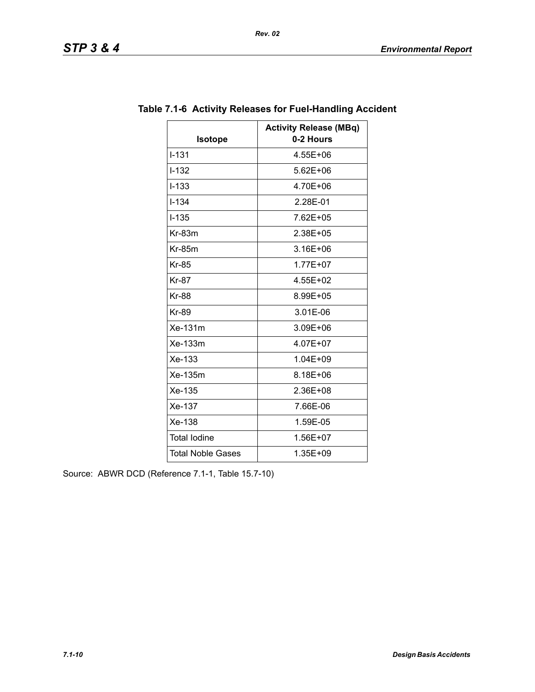| <b>Isotope</b>           | <b>Activity Release (MBq)</b><br>0-2 Hours |
|--------------------------|--------------------------------------------|
| $1 - 1.31$               | 4.55E+06                                   |
| $I-132$                  | $5.62E + 06$                               |
| $I - 133$                | 4.70E+06                                   |
| $I - 134$                | 2.28E-01                                   |
| $I - 135$                | 7.62E+05                                   |
| $Kr-83m$                 | 2.38E+05                                   |
| <b>Kr-85m</b>            | 3.16E+06                                   |
|                          |                                            |
| <b>Kr-85</b>             | $1.77E + 07$                               |
| <b>Kr-87</b>             | 4.55E+02                                   |
| <b>Kr-88</b>             | 8.99E+05                                   |
| <b>Kr-89</b>             | 3.01E-06                                   |
| Xe-131m                  | 3.09E+06                                   |
| Xe-133m                  | 4.07E+07                                   |
| $Xe-133$                 | 1.04E+09                                   |
| Xe-135m                  | 8.18E+06                                   |
| Xe-135                   | 2.36E+08                                   |
| Xe-137                   | 7.66E-06                                   |
| Xe-138                   | 1.59E-05                                   |
| <b>Total lodine</b>      | 1.56E+07                                   |
| <b>Total Noble Gases</b> | 1.35E+09                                   |

# **Table 7.1-6 Activity Releases for Fuel-Handling Accident**

*Rev. 02*

Source: ABWR DCD (Reference 7.1-1, Table 15.7-10)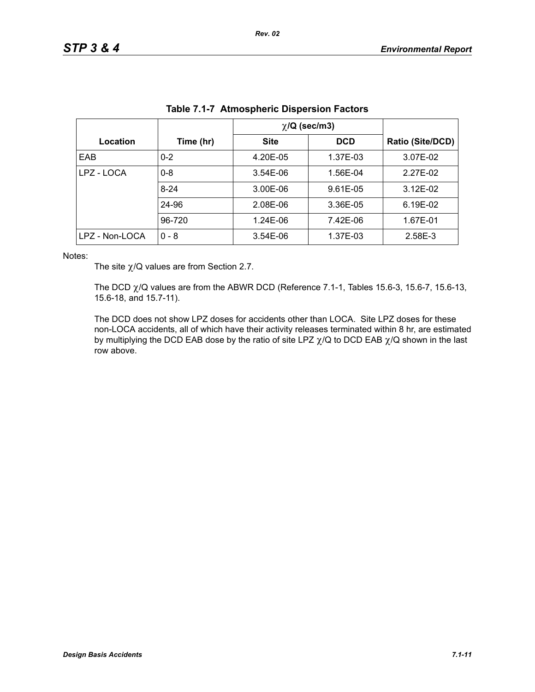|                |           | $\chi$ /Q (sec/m3) |            |                  |
|----------------|-----------|--------------------|------------|------------------|
| Location       | Time (hr) | <b>Site</b>        | <b>DCD</b> | Ratio (Site/DCD) |
| EAB            | $0 - 2$   | 4.20E-05           | 1.37E-03   | 3.07E-02         |
| LPZ - LOCA     | $0 - 8$   | 3.54E-06           | 1.56E-04   | 2.27E-02         |
|                | $8 - 24$  | 3.00E-06           | 9.61E-05   | $3.12E - 02$     |
|                | 24-96     | 2.08E-06           | 3.36E-05   | 6.19E-02         |
|                | 96-720    | 1.24E-06           | 7.42E-06   | 1.67E-01         |
| LPZ - Non-LOCA | $0 - 8$   | 3.54E-06           | 1.37E-03   | 2.58E-3          |

| Table 7.1-7 Atmospheric Dispersion Factors |
|--------------------------------------------|
|--------------------------------------------|

Notes:

The site  $\chi$ /Q values are from Section 2.7.

The DCD  $\chi$ /Q values are from the ABWR DCD (Reference 7.1-1, Tables 15.6-3, 15.6-7, 15.6-13, 15.6-18, and 15.7-11).

The DCD does not show LPZ doses for accidents other than LOCA. Site LPZ doses for these non-LOCA accidents, all of which have their activity releases terminated within 8 hr, are estimated by multiplying the DCD EAB dose by the ratio of site LPZ  $\chi$ /Q to DCD EAB  $\chi$ /Q shown in the last row above.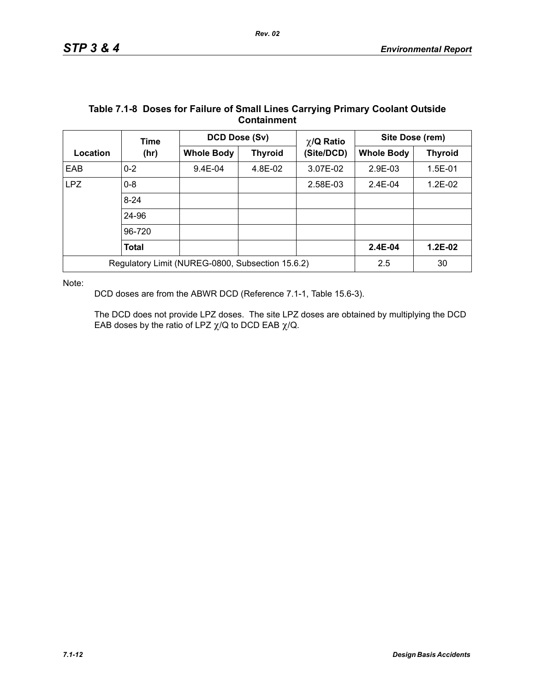|                                                  | Time         | DCD Dose (Sv)     |                | $\chi$ /Q Ratio | Site Dose (rem)   |                |
|--------------------------------------------------|--------------|-------------------|----------------|-----------------|-------------------|----------------|
| Location                                         | (hr)         | <b>Whole Body</b> | <b>Thyroid</b> | (Site/DCD)      | <b>Whole Body</b> | <b>Thyroid</b> |
| EAB                                              | $0 - 2$      | $9.4E-04$         | 4.8E-02        | 3.07E-02        | 2.9E-03           | $1.5E-01$      |
| <b>LPZ</b>                                       | $0 - 8$      |                   |                | 2.58E-03        | $2.4E - 04$       | $1.2E-02$      |
|                                                  | $8 - 24$     |                   |                |                 |                   |                |
|                                                  | 24-96        |                   |                |                 |                   |                |
|                                                  | 96-720       |                   |                |                 |                   |                |
|                                                  | <b>Total</b> |                   |                |                 | 2.4E-04           | $1.2E-02$      |
| Regulatory Limit (NUREG-0800, Subsection 15.6.2) |              |                   |                |                 | 2.5               | 30             |

### **Table 7.1-8 Doses for Failure of Small Lines Carrying Primary Coolant Outside Containment**

Note:

DCD doses are from the ABWR DCD (Reference 7.1-1, Table 15.6-3).

The DCD does not provide LPZ doses. The site LPZ doses are obtained by multiplying the DCD EAB doses by the ratio of LPZ  $\chi$ /Q to DCD EAB  $\chi$ /Q.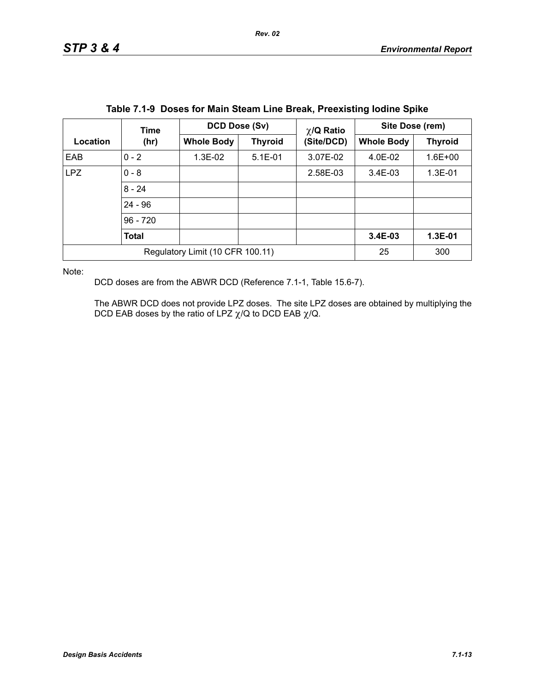|                                  | Time       | DCD Dose (Sv)     |                | $\chi$ /Q Ratio | Site Dose (rem)   |                |
|----------------------------------|------------|-------------------|----------------|-----------------|-------------------|----------------|
| Location                         | (hr)       | <b>Whole Body</b> | <b>Thyroid</b> | (Site/DCD)      | <b>Whole Body</b> | <b>Thyroid</b> |
| EAB                              | $0 - 2$    | 1.3E-02           | $5.1E-01$      | 3.07E-02        | $4.0E-02$         | $1.6E + 00$    |
| <b>LPZ</b>                       | $0 - 8$    |                   |                | 2.58E-03        | $3.4E-03$         | 1.3E-01        |
|                                  | $8 - 24$   |                   |                |                 |                   |                |
|                                  | $24 - 96$  |                   |                |                 |                   |                |
|                                  | $96 - 720$ |                   |                |                 |                   |                |
|                                  | Total      |                   |                |                 | 3.4E-03           | 1.3E-01        |
| Regulatory Limit (10 CFR 100.11) |            |                   |                |                 | 25                | 300            |

Note:

DCD doses are from the ABWR DCD (Reference 7.1-1, Table 15.6-7).

The ABWR DCD does not provide LPZ doses. The site LPZ doses are obtained by multiplying the DCD EAB doses by the ratio of LPZ  $\chi$ /Q to DCD EAB  $\chi$ /Q.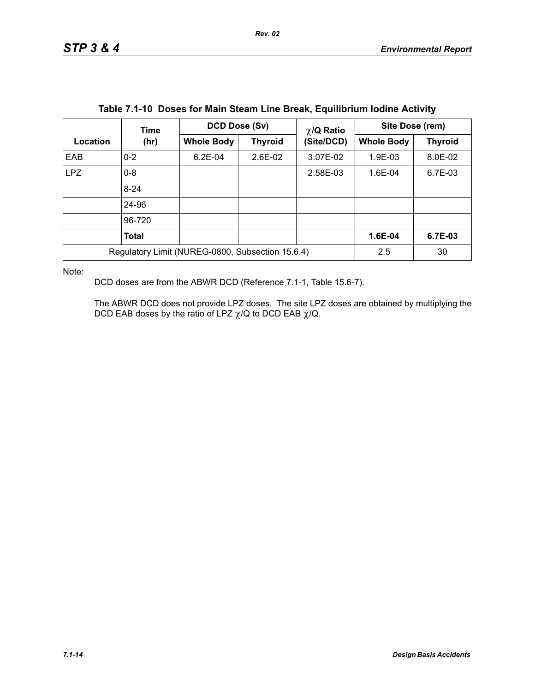|                                                  | <b>Time</b>  | <b>DCD Dose (Sv)</b> |                | $\chi$ /Q Ratio | Site Dose (rem)   |                |
|--------------------------------------------------|--------------|----------------------|----------------|-----------------|-------------------|----------------|
| Location                                         | (hr)         | <b>Whole Body</b>    | <b>Thyroid</b> | (Site/DCD)      | <b>Whole Body</b> | <b>Thyroid</b> |
| EAB                                              | $0 - 2$      | $6.2E - 04$          | $2.6E-02$      | 3.07E-02        | 1.9E-03           | 8.0E-02        |
| <b>LPZ</b>                                       | $0 - 8$      |                      |                | 2.58E-03        | 1.6E-04           | 6.7E-03        |
|                                                  | $8 - 24$     |                      |                |                 |                   |                |
|                                                  | 24-96        |                      |                |                 |                   |                |
|                                                  | 96-720       |                      |                |                 |                   |                |
|                                                  | <b>Total</b> |                      |                |                 | 1.6E-04           | 6.7E-03        |
| Regulatory Limit (NUREG-0800, Subsection 15.6.4) |              |                      | 2.5            | 30              |                   |                |

|  |  | Table 7.1-10 Doses for Main Steam Line Break, Equilibrium Iodine Activity |  |  |
|--|--|---------------------------------------------------------------------------|--|--|
|--|--|---------------------------------------------------------------------------|--|--|

Note:

DCD doses are from the ABWR DCD (Reference 7.1-1, Table 15.6-7).

The ABWR DCD does not provide LPZ doses. The site LPZ doses are obtained by multiplying the DCD EAB doses by the ratio of LPZ  $\chi$ /Q to DCD EAB  $\chi$ /Q.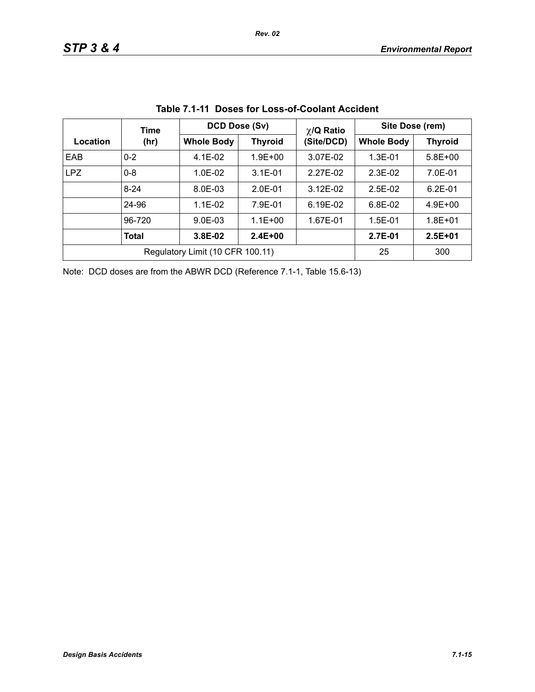|            | Time                             | DCD Dose (Sv)     |                | $\chi$ /Q Ratio | Site Dose (rem)   |                |  |
|------------|----------------------------------|-------------------|----------------|-----------------|-------------------|----------------|--|
| Location   | (hr)                             | <b>Whole Body</b> | <b>Thyroid</b> | (Site/DCD)      | <b>Whole Body</b> | <b>Thyroid</b> |  |
| EAB        | $0 - 2$                          | $4.1E-02$         | $1.9E + 00$    | 3.07E-02        | $1.3E - 01$       | $5.8E + 00$    |  |
| <b>LPZ</b> | $0 - 8$                          | $1.0F - 02$       | $3.1E - 01$    | 2.27E-02        | $2.3F-02$         | 7.0E-01        |  |
|            | $8 - 24$                         | 8.0E-03           | $2.0E-01$      | $3.12E - 02$    | $2.5E-02$         | $6.2E - 01$    |  |
|            | 24-96                            | $1.1E - 02$       | 7.9E-01        | 6.19E-02        | $6.8E-02$         | $4.9E + 00$    |  |
|            | 96-720                           | $9.0E - 03$       | $1.1E + 00$    | 1.67E-01        | $1.5E-01$         | $1.8E + 01$    |  |
|            | <b>Total</b>                     | 3.8E-02           | $2.4E + 00$    |                 | 2.7E-01           | $2.5E + 01$    |  |
|            | Regulatory Limit (10 CFR 100.11) | 25                | 300            |                 |                   |                |  |

**Table 7.1-11 Doses for Loss-of-Coolant Accident**

Note: DCD doses are from the ABWR DCD (Reference 7.1-1, Table 15.6-13)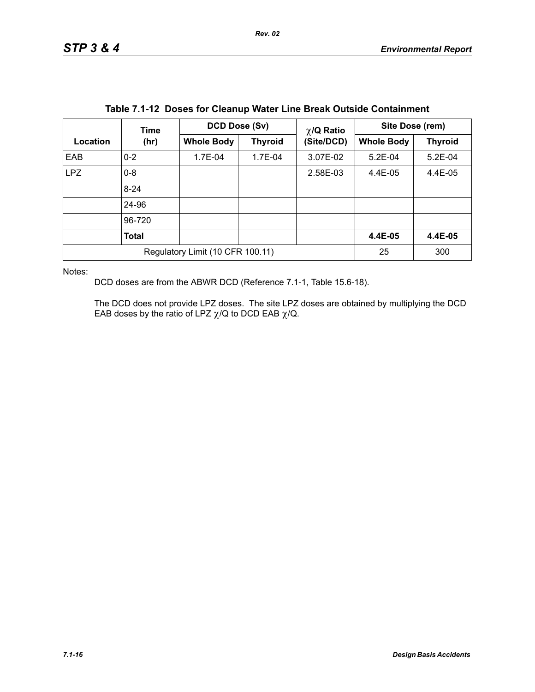|                                  | Time         | DCD Dose (Sv)     |                | $\chi$ /Q Ratio | Site Dose (rem)   |                |
|----------------------------------|--------------|-------------------|----------------|-----------------|-------------------|----------------|
| Location                         | (hr)         | <b>Whole Body</b> | <b>Thyroid</b> | (Site/DCD)      | <b>Whole Body</b> | <b>Thyroid</b> |
| EAB                              | $0 - 2$      | 1.7E-04           | 1.7E-04        | 3.07E-02        | $5.2E-04$         | $5.2E-04$      |
| <b>LPZ</b>                       | $0 - 8$      |                   |                | 2.58E-03        | $4.4E-05$         | 4.4E-05        |
|                                  | $8 - 24$     |                   |                |                 |                   |                |
|                                  | 24-96        |                   |                |                 |                   |                |
|                                  | 96-720       |                   |                |                 |                   |                |
|                                  | <b>Total</b> |                   |                |                 | 4.4E-05           | 4.4E-05        |
| Regulatory Limit (10 CFR 100.11) |              |                   |                |                 | 25                | 300            |

|  |  |  | Table 7.1-12 Doses for Cleanup Water Line Break Outside Containment |
|--|--|--|---------------------------------------------------------------------|
|--|--|--|---------------------------------------------------------------------|

Notes:

DCD doses are from the ABWR DCD (Reference 7.1-1, Table 15.6-18).

The DCD does not provide LPZ doses. The site LPZ doses are obtained by multiplying the DCD EAB doses by the ratio of LPZ  $\chi$ /Q to DCD EAB  $\chi$ /Q.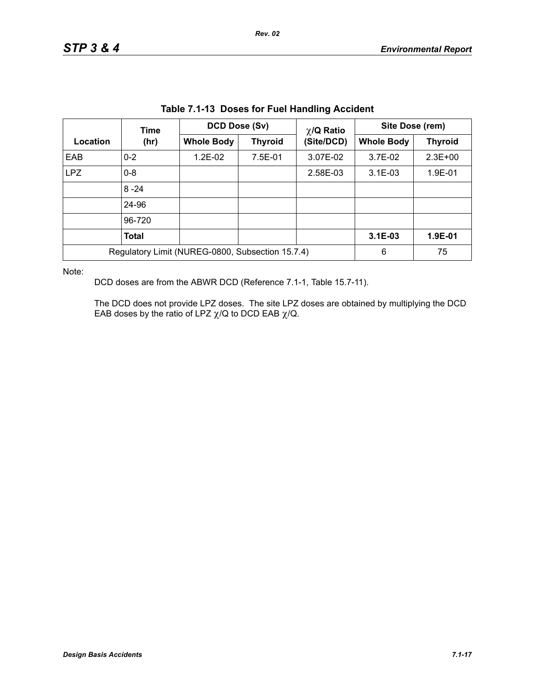|                                                  | Table 7.1-13 Doses for Fuel Handling Accident<br>DCD Dose (Sv)<br>Site Dose (rem)<br>$\chi$ /Q Ratio |                   |                |            |                   |                |  |  |
|--------------------------------------------------|------------------------------------------------------------------------------------------------------|-------------------|----------------|------------|-------------------|----------------|--|--|
|                                                  | Time                                                                                                 | <b>Whole Body</b> |                |            |                   |                |  |  |
| Location                                         | (hr)                                                                                                 |                   | <b>Thyroid</b> | (Site/DCD) | <b>Whole Body</b> | <b>Thyroid</b> |  |  |
| EAB                                              | $0 - 2$                                                                                              | $1.2E-02$         | 7.5E-01        | 3.07E-02   | 3.7E-02           | $2.3E + 00$    |  |  |
| <b>LPZ</b>                                       | $0 - 8$                                                                                              |                   |                | 2.58E-03   | $3.1E - 03$       | 1.9E-01        |  |  |
|                                                  | $8 - 24$                                                                                             |                   |                |            |                   |                |  |  |
|                                                  | 24-96                                                                                                |                   |                |            |                   |                |  |  |
|                                                  | 96-720                                                                                               |                   |                |            |                   |                |  |  |
|                                                  | <b>Total</b>                                                                                         |                   |                |            | $3.1E-03$         | 1.9E-01        |  |  |
| Regulatory Limit (NUREG-0800, Subsection 15.7.4) |                                                                                                      |                   |                |            | 6                 | 75             |  |  |

**Table 7.1-13 Doses for Fuel Handling Accident**

Note:

DCD doses are from the ABWR DCD (Reference 7.1-1, Table 15.7-11).

The DCD does not provide LPZ doses. The site LPZ doses are obtained by multiplying the DCD EAB doses by the ratio of LPZ  $\chi$ /Q to DCD EAB  $\chi$ /Q.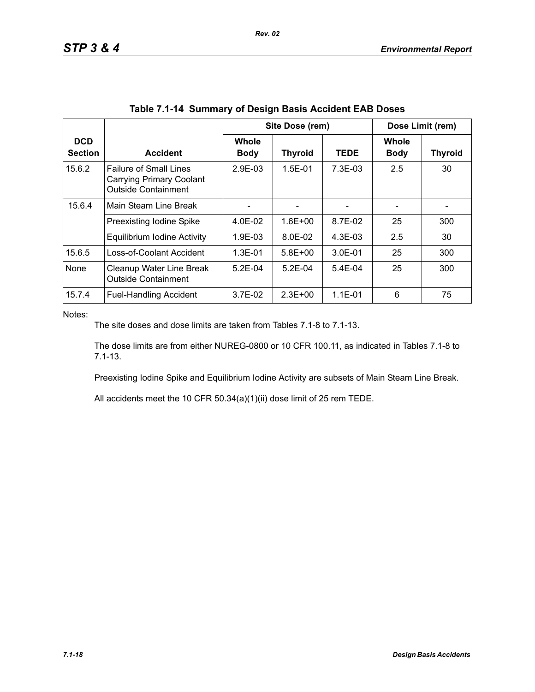|                              |                                                                                         | Site Dose (rem)      |                |             | Dose Limit (rem)            |                |  |
|------------------------------|-----------------------------------------------------------------------------------------|----------------------|----------------|-------------|-----------------------------|----------------|--|
| <b>DCD</b><br><b>Section</b> | <b>Accident</b>                                                                         | Whole<br><b>Body</b> | <b>Thyroid</b> | <b>TEDE</b> | <b>Whole</b><br><b>Body</b> | <b>Thyroid</b> |  |
| 15.6.2                       | <b>Failure of Small Lines</b><br>Carrying Primary Coolant<br><b>Outside Containment</b> | 2.9E-03              | $1.5E - 01$    | $7.3E-03$   | 2.5                         | 30             |  |
| 15.6.4                       | Main Steam Line Break                                                                   |                      |                |             |                             |                |  |
|                              | Preexisting Iodine Spike                                                                | 4.0E-02              | $1.6E + 00$    | 8.7E-02     | 25                          | 300            |  |
|                              | Equilibrium Iodine Activity                                                             | 1.9E-03              | 8.0E-02        | $4.3E-03$   | 2.5                         | 30             |  |
| 15.6.5                       | Loss-of-Coolant Accident                                                                | $1.3E - 01$          | $5.8E + 00$    | $3.0E - 01$ | 25                          | 300            |  |
| None                         | Cleanup Water Line Break<br><b>Outside Containment</b>                                  | $5.2F-04$            | $5.2F-04$      | $5.4E-04$   | 25                          | 300            |  |
| 15.7.4                       | <b>Fuel-Handling Accident</b>                                                           | 3.7E-02              | $2.3E + 00$    | $1.1E-01$   | 6                           | 75             |  |

*Rev. 02*

Notes:

The site doses and dose limits are taken from Tables 7.1-8 to 7.1-13.

The dose limits are from either NUREG-0800 or 10 CFR 100.11, as indicated in Tables 7.1-8 to 7.1-13.

Preexisting Iodine Spike and Equilibrium Iodine Activity are subsets of Main Steam Line Break.

All accidents meet the 10 CFR 50.34(a)(1)(ii) dose limit of 25 rem TEDE.